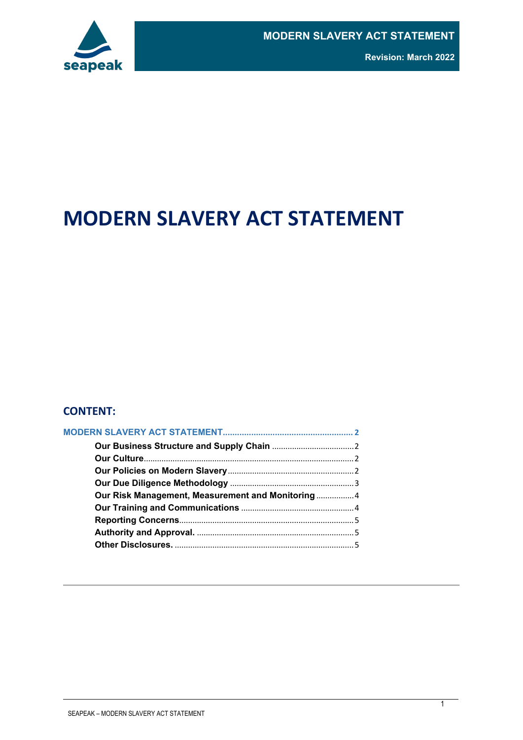# **MODERN SLAVERY ACT STATEMENT**

#### **CONTENT:**

| Our Risk Management, Measurement and Monitoring  4 |  |
|----------------------------------------------------|--|
|                                                    |  |
|                                                    |  |
|                                                    |  |
|                                                    |  |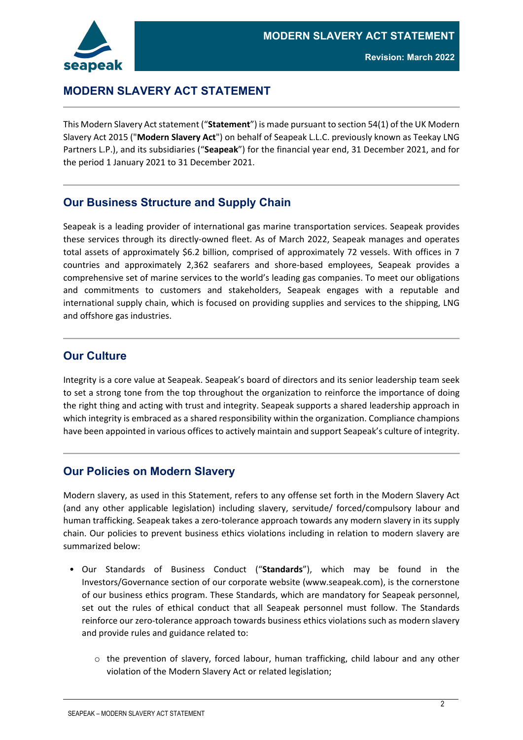



# <span id="page-1-0"></span>**MODERN SLAVERY ACT STATEMENT**

This Modern Slavery Act statement ("**Statement**") is made pursuant to section 54(1) of the UK Modern Slavery Act 2015 ("**Modern Slavery Act**") on behalf of Seapeak L.L.C. previously known as Teekay LNG Partners L.P.), and its subsidiaries ("**Seapeak**") for the financial year end, 31 December 2021, and for the period 1 January 2021 to 31 December 2021.

### <span id="page-1-1"></span>**Our Business Structure and Supply Chain**

Seapeak is a leading provider of international gas marine transportation services. Seapeak provides these services through its directly-owned fleet. As of March 2022, Seapeak manages and operates total assets of approximately \$6.2 billion, comprised of approximately 72 vessels. With offices in 7 countries and approximately 2,362 seafarers and shore-based employees, Seapeak provides a comprehensive set of marine services to the world's leading gas companies. To meet our obligations and commitments to customers and stakeholders, Seapeak engages with a reputable and international supply chain, which is focused on providing supplies and services to the shipping, LNG and offshore gas industries.

#### <span id="page-1-2"></span>**Our Culture**

Integrity is a core value at Seapeak. Seapeak's board of directors and its senior leadership team seek to set a strong tone from the top throughout the organization to reinforce the importance of doing the right thing and acting with trust and integrity. Seapeak supports a shared leadership approach in which integrity is embraced as a shared responsibility within the organization. Compliance champions have been appointed in various offices to actively maintain and support Seapeak's culture of integrity.

#### <span id="page-1-3"></span>**Our Policies on Modern Slavery**

Modern slavery, as used in this Statement, refers to any offense set forth in the Modern Slavery Act (and any other applicable legislation) including slavery, servitude/ forced/compulsory labour and human trafficking. Seapeak takes a zero-tolerance approach towards any modern slavery in its supply chain. Our policies to prevent business ethics violations including in relation to modern slavery are summarized below:

- Our Standards of Business Conduct ("**Standards**"), which may be found in the Investors/Governance section of our corporate website (www.seapeak.com), is the cornerstone of our business ethics program. These Standards, which are mandatory for Seapeak personnel, set out the rules of ethical conduct that all Seapeak personnel must follow. The Standards reinforce our zero-tolerance approach towards business ethics violations such as modern slavery and provide rules and guidance related to:
	- $\circ$  the prevention of slavery, forced labour, human trafficking, child labour and any other violation of the Modern Slavery Act or related legislation;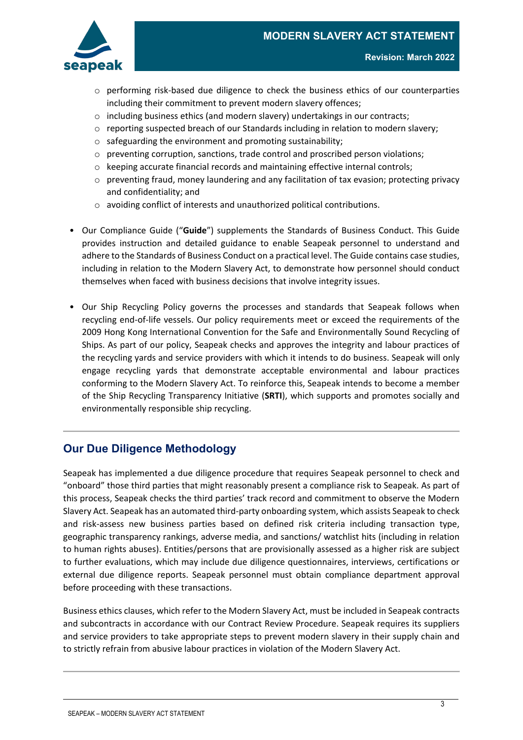

- o performing risk-based due diligence to check the business ethics of our counterparties including their commitment to prevent modern slavery offences;
- $\circ$  including business ethics (and modern slavery) undertakings in our contracts;
- $\circ$  reporting suspected breach of our Standards including in relation to modern slavery;
- o safeguarding the environment and promoting sustainability;
- $\circ$  preventing corruption, sanctions, trade control and proscribed person violations;
- o keeping accurate financial records and maintaining effective internal controls;
- $\circ$  preventing fraud, money laundering and any facilitation of tax evasion; protecting privacy and confidentiality; and
- o avoiding conflict of interests and unauthorized political contributions.
- Our Compliance Guide ("**Guide**") supplements the Standards of Business Conduct. This Guide provides instruction and detailed guidance to enable Seapeak personnel to understand and adhere to the Standards of Business Conduct on a practical level. The Guide contains case studies, including in relation to the Modern Slavery Act, to demonstrate how personnel should conduct themselves when faced with business decisions that involve integrity issues.
- Our Ship Recycling Policy governs the processes and standards that Seapeak follows when recycling end-of-life vessels. Our policy requirements meet or exceed the requirements of the 2009 Hong Kong International Convention for the Safe and Environmentally Sound Recycling of Ships. As part of our policy, Seapeak checks and approves the integrity and labour practices of the recycling yards and service providers with which it intends to do business. Seapeak will only engage recycling yards that demonstrate acceptable environmental and labour practices conforming to the Modern Slavery Act. To reinforce this, Seapeak intends to become a member of the Ship Recycling Transparency Initiative (**SRTI**), which supports and promotes socially and environmentally responsible ship recycling.

### <span id="page-2-0"></span>**Our Due Diligence Methodology**

Seapeak has implemented a due diligence procedure that requires Seapeak personnel to check and "onboard" those third parties that might reasonably present a compliance risk to Seapeak. As part of this process, Seapeak checks the third parties' track record and commitment to observe the Modern Slavery Act. Seapeak has an automated third-party onboarding system, which assists Seapeak to check and risk-assess new business parties based on defined risk criteria including transaction type, geographic transparency rankings, adverse media, and sanctions/ watchlist hits (including in relation to human rights abuses). Entities/persons that are provisionally assessed as a higher risk are subject to further evaluations, which may include due diligence questionnaires, interviews, certifications or external due diligence reports. Seapeak personnel must obtain compliance department approval before proceeding with these transactions.

Business ethics clauses, which refer to the Modern Slavery Act, must be included in Seapeak contracts and subcontracts in accordance with our Contract Review Procedure. Seapeak requires its suppliers and service providers to take appropriate steps to prevent modern slavery in their supply chain and to strictly refrain from abusive labour practices in violation of the Modern Slavery Act.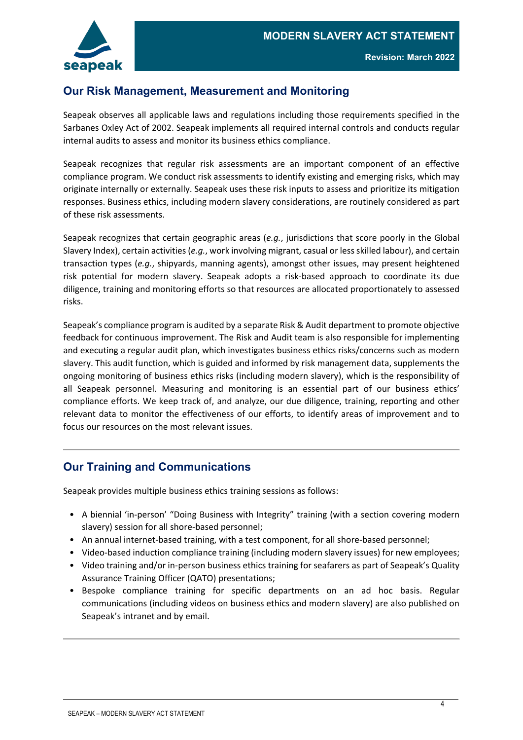

## <span id="page-3-0"></span>**Our Risk Management, Measurement and Monitoring**

Seapeak observes all applicable laws and regulations including those requirements specified in the Sarbanes Oxley Act of 2002. Seapeak implements all required internal controls and conducts regular internal audits to assess and monitor its business ethics compliance.

Seapeak recognizes that regular risk assessments are an important component of an effective compliance program. We conduct risk assessments to identify existing and emerging risks, which may originate internally or externally. Seapeak uses these risk inputs to assess and prioritize its mitigation responses. Business ethics, including modern slavery considerations, are routinely considered as part of these risk assessments.

Seapeak recognizes that certain geographic areas (*e.g.*, jurisdictions that score poorly in the Global Slavery Index), certain activities (*e.g.*, work involving migrant, casual or less skilled labour), and certain transaction types (*e.g.*, shipyards, manning agents), amongst other issues, may present heightened risk potential for modern slavery. Seapeak adopts a risk-based approach to coordinate its due diligence, training and monitoring efforts so that resources are allocated proportionately to assessed risks.

Seapeak's compliance program is audited by a separate Risk & Audit department to promote objective feedback for continuous improvement. The Risk and Audit team is also responsible for implementing and executing a regular audit plan, which investigates business ethics risks/concerns such as modern slavery. This audit function, which is guided and informed by risk management data, supplements the ongoing monitoring of business ethics risks (including modern slavery), which is the responsibility of all Seapeak personnel. Measuring and monitoring is an essential part of our business ethics' compliance efforts. We keep track of, and analyze, our due diligence, training, reporting and other relevant data to monitor the effectiveness of our efforts, to identify areas of improvement and to focus our resources on the most relevant issues.

### <span id="page-3-1"></span>**Our Training and Communications**

Seapeak provides multiple business ethics training sessions as follows:

- A biennial 'in-person' "Doing Business with Integrity" training (with a section covering modern slavery) session for all shore-based personnel;
- An annual internet-based training, with a test component, for all shore-based personnel;
- Video-based induction compliance training (including modern slavery issues) for new employees;
- Video training and/or in-person business ethics training for seafarers as part of Seapeak's Quality Assurance Training Officer (QATO) presentations;
- Bespoke compliance training for specific departments on an ad hoc basis. Regular communications (including videos on business ethics and modern slavery) are also published on Seapeak's intranet and by email.